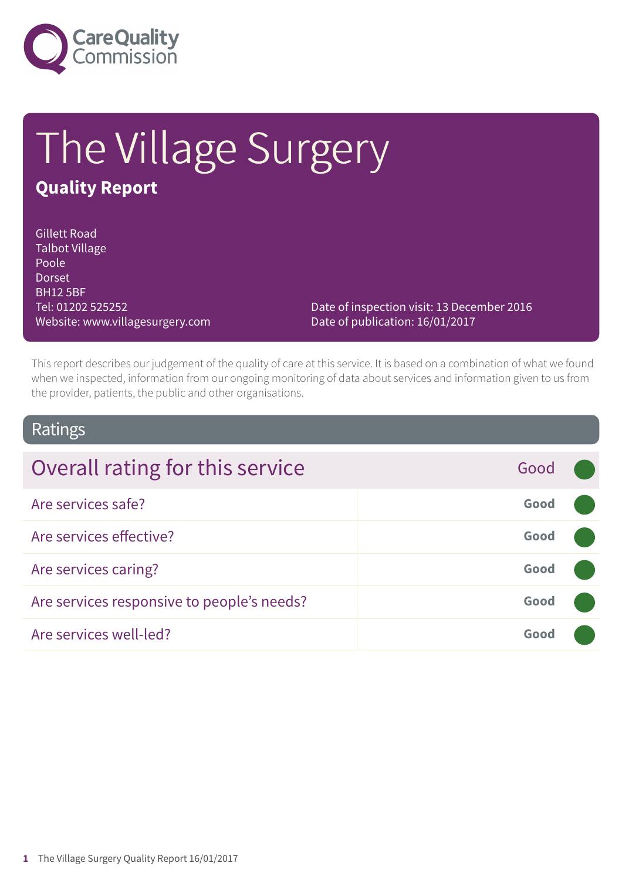

# The Village Surgery **Quality Report**

#### Gillett Road Talbot Village Poole Dorset BH12 5BF Tel: 01202 525252 Website: www.villagesurgery.com

Date of inspection visit: 13 December 2016 Date of publication: 16/01/2017

This report describes our judgement of the quality of care at this service. It is based on a combination of what we found when we inspected, information from our ongoing monitoring of data about services and information given to us from the provider, patients, the public and other organisations.

### Ratings

| Overall rating for this service            | Good |  |
|--------------------------------------------|------|--|
| Are services safe?                         | Good |  |
| Are services effective?                    | Good |  |
| Are services caring?                       | Good |  |
| Are services responsive to people's needs? | Good |  |
| Are services well-led?                     | Good |  |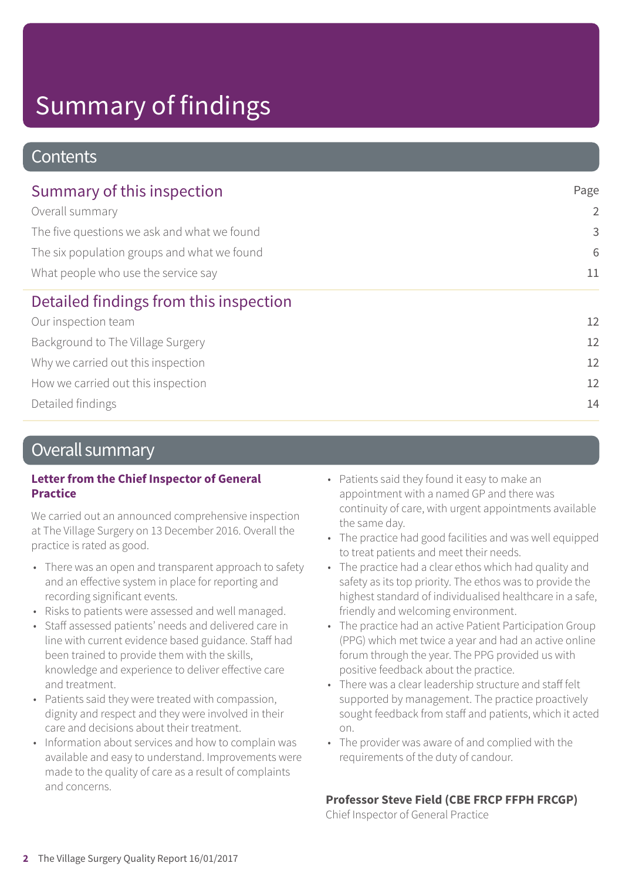### **Contents**

| Summary of this inspection                  | Page           |  |
|---------------------------------------------|----------------|--|
| Overall summary                             | $\overline{2}$ |  |
| The five questions we ask and what we found | 3              |  |
| The six population groups and what we found | 6              |  |
| What people who use the service say         | 11             |  |
| Detailed findings from this inspection      |                |  |
| Our inspection team                         | 12             |  |
| Background to The Village Surgery           | 12             |  |
| Why we carried out this inspection          | 12             |  |
| How we carried out this inspection          | 12             |  |
| Detailed findings                           | 14             |  |

### Overall summary

#### **Letter from the Chief Inspector of General Practice**

We carried out an announced comprehensive inspection at The Village Surgery on 13 December 2016. Overall the practice is rated as good.

- There was an open and transparent approach to safety and an effective system in place for reporting and recording significant events.
- Risks to patients were assessed and well managed.
- Staff assessed patients' needs and delivered care in line with current evidence based guidance. Staff had been trained to provide them with the skills, knowledge and experience to deliver effective care and treatment.
- Patients said they were treated with compassion, dignity and respect and they were involved in their care and decisions about their treatment.
- Information about services and how to complain was available and easy to understand. Improvements were made to the quality of care as a result of complaints and concerns.
- Patients said they found it easy to make an appointment with a named GP and there was continuity of care, with urgent appointments available the same day.
- The practice had good facilities and was well equipped to treat patients and meet their needs.
- The practice had a clear ethos which had quality and safety as its top priority. The ethos was to provide the highest standard of individualised healthcare in a safe, friendly and welcoming environment.
- The practice had an active Patient Participation Group (PPG) which met twice a year and had an active online forum through the year. The PPG provided us with positive feedback about the practice.
- There was a clear leadership structure and staff felt supported by management. The practice proactively sought feedback from staff and patients, which it acted on.
- The provider was aware of and complied with the requirements of the duty of candour.

#### **Professor Steve Field (CBE FRCP FFPH FRCGP)**

Chief Inspector of General Practice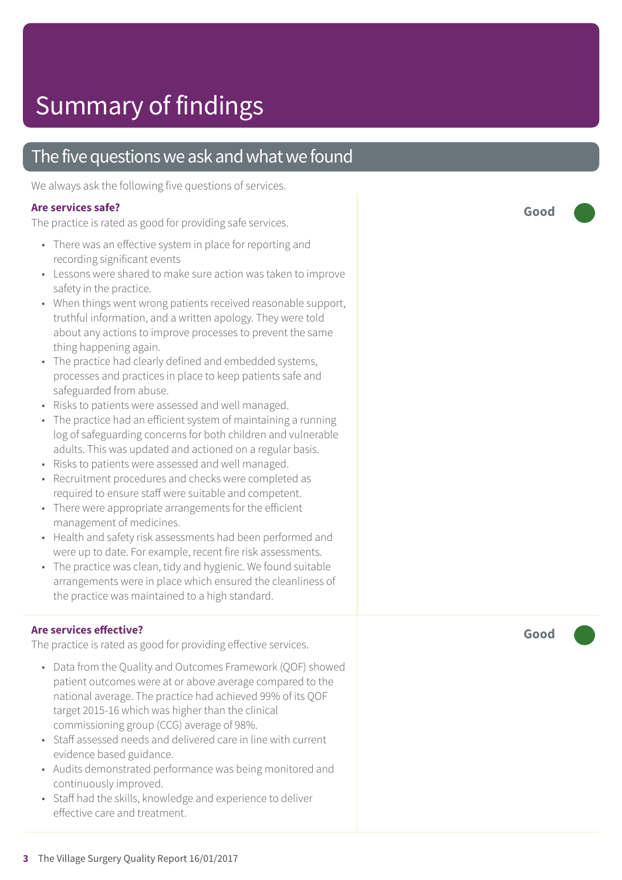### The five questions we ask and what we found

We always ask the following five questions of services.

#### **Ar e services safe ?**

The practic e is rated as good for providing saf e services.

- There was an effective system in place for reporting and recording significant events
- Lessons were shared to make sure action was taken to improve saf ety in the practice.
- When things went wrong patients received reasonable support, truthful information, and a written apology. The y wer e told about any actions t o improve processes t o pr event the same thing happening again.
- The practic e had clearly defined and embedded systems, processes and practices in plac e t o keep patients saf e and saf eguarded from abuse.
- Risks t o patients wer e assessed and well managed.
- The practic e had an efficient system of maintaining a running log of safeguarding concerns for both children and vulnerable adults. This was updated and actioned on a r egular basis.
- Risks t o patients wer e assessed and well managed.
- Recruitment procedures and checks wer e comple ted as required to ensure staff were suitable and competent.
- There were appropriate arrangements for the efficient management of medicines.
- Health and saf ety risk assessments had been performed and wer e up t o date. For example, recent fir e risk assessments.
- The practic e was clean, tidy and hygienic. We found suitable arrangements wer e in plac e which ensured the cleanliness of the practic e was maintained t o a high standard.

#### **Ar e services e ffective ?**

The practic e is rated as good for providing effective services.

- Dat a from the Quality and Out comes F ramework (QOF) showed patient out comes wer e at or above averag e compared t o the national average. The practic e had achieved 99% of its QOF target 2015-16 which was higher than the clinical commissioning group (C CG) averag e of 98%.
- Staff assessed needs and delivered car e in line with current evidenc e based guidance.
- Audits demonstrated performanc e was being monitored and continuously improved.
- Staff had the skills, knowledge and experience to deliver effective care and treatment.

**Good –––**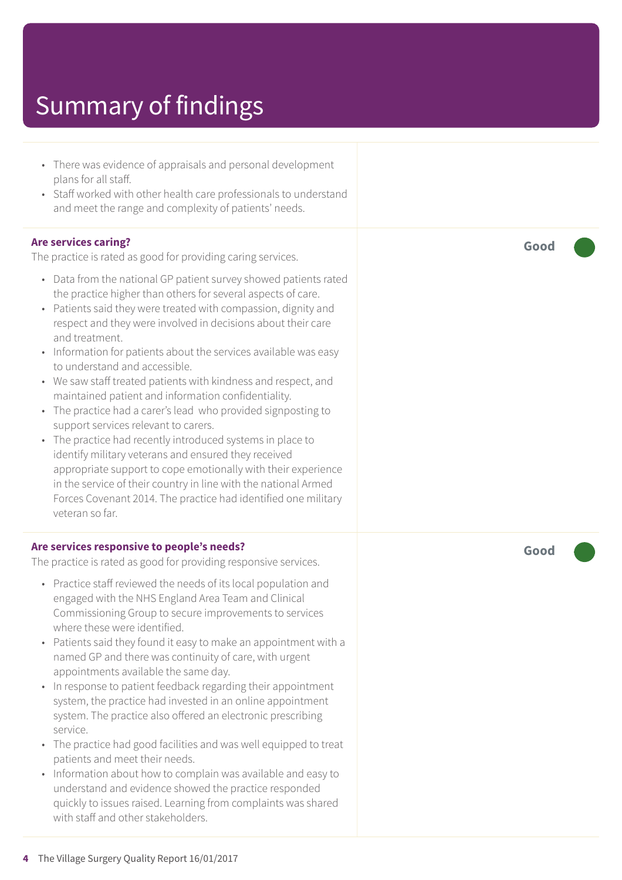- There was evidence of appraisals and personal development plans for all staff.
- Staff worked with other health care professionals to understand and meet the range and complexity of patients' needs.

#### **Are services caring?**

The practice is rated as good for providing caring services.

- Data from the national GP patient survey showed patients rated the practice higher than others for several aspects of care.
- Patients said they were treated with compassion, dignity and respect and they were involved in decisions about their care and treatment.
- Information for patients about the services available was easy to understand and accessible.
- We saw staff treated patients with kindness and respect, and maintained patient and information confidentiality.
- The practice had a carer's lead who provided signposting to support services relevant to carers.
- The practice had recently introduced systems in place to identify military veterans and ensured they received appropriate support to cope emotionally with their experience in the service of their country in line with the national Armed Forces Covenant 2014. The practice had identified one military veteran so far.

#### **Are services responsive to people's needs?**

The practice is rated as good for providing responsive services.

- Practice staff reviewed the needs of its local population and engaged with the NHS England Area Team and Clinical Commissioning Group to secure improvements to services where these were identified.
- Patients said they found it easy to make an appointment with a named GP and there was continuity of care, with urgent appointments available the same day.
- In response to patient feedback regarding their appointment system, the practice had invested in an online appointment system. The practice also offered an electronic prescribing service.
- The practice had good facilities and was well equipped to treat patients and meet their needs.
- Information about how to complain was available and easy to understand and evidence showed the practice responded quickly to issues raised. Learning from complaints was shared with staff and other stakeholders.

**Good –––**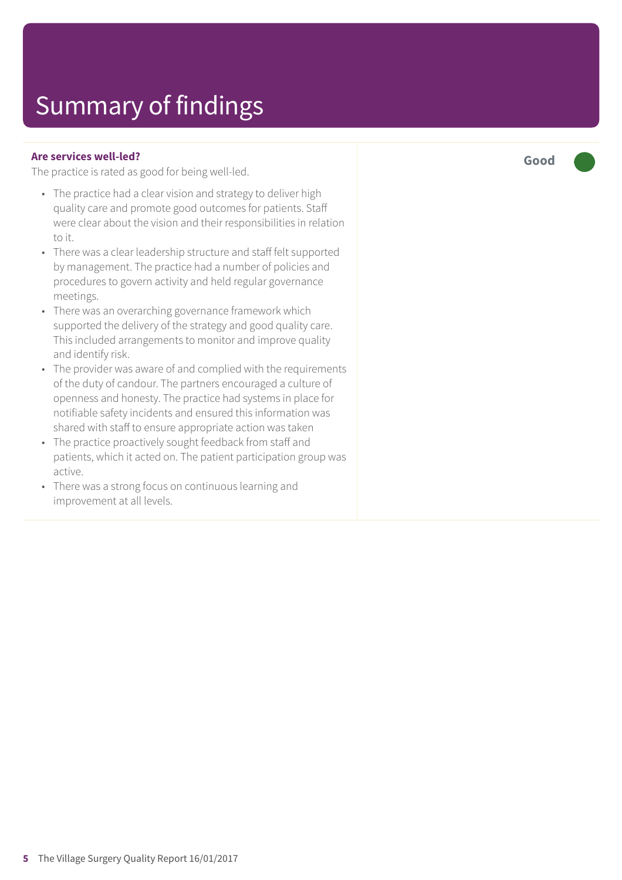#### **Are services well-led?**

The practice is rated as good for being well-led.

- The practice had a clear vision and strategy to deliver high quality care and promote good outcomes for patients. Staff were clear about the vision and their responsibilities in relation to it.
- There was a clear leadership structure and staff felt supported by management. The practice had a number of policies and procedures to govern activity and held regular governance meetings.
- There was an overarching governance framework which supported the delivery of the strategy and good quality care. This included arrangements to monitor and improve quality and identify risk.
- The provider was aware of and complied with the requirements of the duty of candour. The partners encouraged a culture of openness and honesty. The practice had systems in place for notifiable safety incidents and ensured this information was shared with staff to ensure appropriate action was taken
- The practice proactively sought feedback from staff and patients, which it acted on. The patient participation group was active.
- There was a strong focus on continuous learning and improvement at all levels.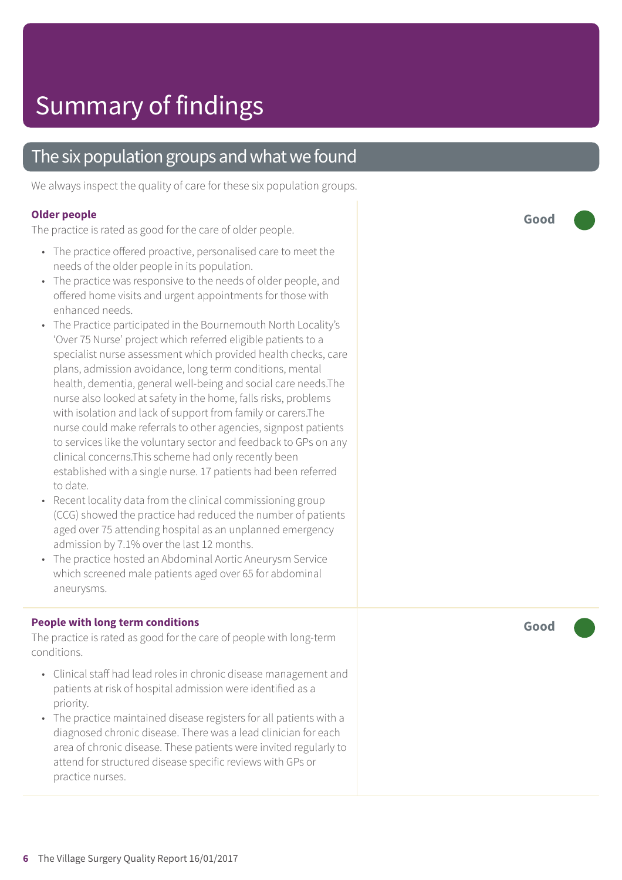### The six population groups and what we found

We always inspect the quality of care for these six population groups.

#### **Older people**

The practice is rated as good for the care of older people.

- The practice offered proactive, personalised care to meet the needs of the older people in its population.
- The practice was responsive to the needs of older people, and offered home visits and urgent appointments for those with enhanced needs.
- The Practice participated in the Bournemouth North Locality's 'Over 75 Nurse' project which referred eligible patients to a specialist nurse assessment which provided health checks, care plans, admission avoidance, long term conditions, mental health, dementia, general well-being and social care needs.The nurse also looked at safety in the home, falls risks, problems with isolation and lack of support from family or carers.The nurse could make referrals to other agencies, signpost patients to services like the voluntary sector and feedback to GPs on any clinical concerns.This scheme had only recently been established with a single nurse. 17 patients had been referred to date.
- Recent locality data from the clinical commissioning group (CCG) showed the practice had reduced the number of patients aged over 75 attending hospital as an unplanned emergency admission by 7.1% over the last 12 months.
- The practice hosted an Abdominal Aortic Aneurysm Service which screened male patients aged over 65 for abdominal aneurysms.

#### **People with long term conditions**

The practice is rated as good for the care of people with long-term conditions.

- Clinical staff had lead roles in chronic disease management and patients at risk of hospital admission were identified as a priority.
- The practice maintained disease registers for all patients with a diagnosed chronic disease. There was a lead clinician for each area of chronic disease. These patients were invited regularly to attend for structured disease specific reviews with GPs or practice nurses.

**Good –––**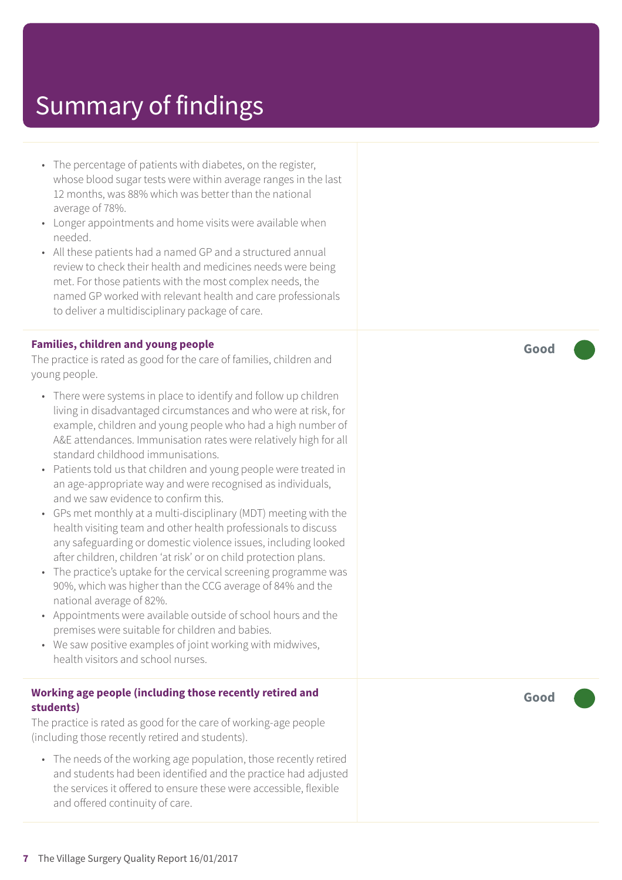- The percentage of patients with diabetes, on the register, whose blood sugar tests were within average ranges in the last 12 months, was 88% which was better than the national average of 78%.
- Longer appointments and home visits were available when needed.
- All these patients had a named GP and a structured annual review to check their health and medicines needs were being met. For those patients with the most complex needs, the named GP worked with relevant health and care professionals to deliver a multidisciplinary package of care.

#### **Families, children and young people**

The practice is rated as good for the care of families, children and young people.

- There were systems in place to identify and follow up children living in disadvantaged circumstances and who were at risk, for example, children and young people who had a high number of A&E attendances. Immunisation rates were relatively high for all standard childhood immunisations.
- Patients told us that children and young people were treated in an age-appropriate way and were recognised as individuals, and we saw evidence to confirm this.
- GPs met monthly at a multi-disciplinary (MDT) meeting with the health visiting team and other health professionals to discuss any safeguarding or domestic violence issues, including looked after children, children 'at risk' or on child protection plans.
- The practice's uptake for the cervical screening programme was 90%, which was higher than the CCG average of 84% and the national average of 82%.
- Appointments were available outside of school hours and the premises were suitable for children and babies.
- We saw positive examples of joint working with midwives, health visitors and school nurses.

#### **Working age people (including those recently retired and students)**

The practice is rated as good for the care of working-age people (including those recently retired and students).

• The needs of the working age population, those recently retired and students had been identified and the practice had adjusted the services it offered to ensure these were accessible, flexible and offered continuity of care.

**Good –––**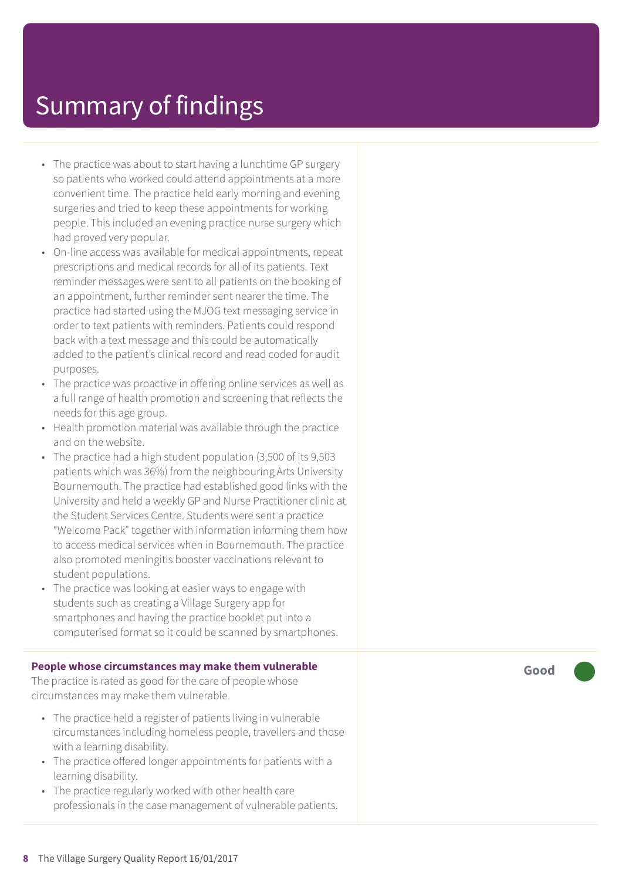- The practice was about to start having a lunchtime GP surgery so patients who worked could attend appointments at a mor e convenient time. The practic e held early morning and evening surgeries and tried to keep these appointments for working people. This included an evening practice nurse surgery which had proved ver y popular.
- On-line access was available for medical appointments, repeat prescriptions and medical records for all of its patients. Text reminder messages were sent to all patients on the booking of an appointment, further reminder sent nearer the time. The practic e had started using the MJOG text messaging servic e in order t o text patients with reminders. Patients could respond back with a text messag e and this could be automatically added to the patient's clinical record and read coded for audit purposes.
- The practice was proactive in offering online services as well as a full rang e of health promotion and screening that reflects the needs for this ag e group.
- Health promotion material was available through the practice and on the website.
- The practic e had a high student population (3,500 of its 9,503 patients which was 36%) from the neighbouring Arts University Bournemouth. The practic e had established good links with the University and held a weekly GP and Nurse Practitioner clinic at the Student Services Centre. Students wer e sent a practic e "Welcome Pack" together with information informing them how t o ac cess medical services when in Bournemouth. The practic e also promoted meningitis booster vaccinations relevant to student populations.
- The practice was looking at easier ways to engage with students such as cr eating a Villag e Sur ger y app for smartphones and having the practic e bookle t put int o a computerised format so it could be scanned by smartphones.

#### **People whose circumstances may mak e them vulnerable**

The practice is rated as good for the care of people whose circumstances may mak e them vulnerable.

- The practice held a register of patients living in vulnerable circumstances including homeless people, traveller s and those with a learning disability.
- The practice offered longer appointments for patients with a learning disability.
- The practice regularly worked with other health car e professionals in the case management of vulnerable patients.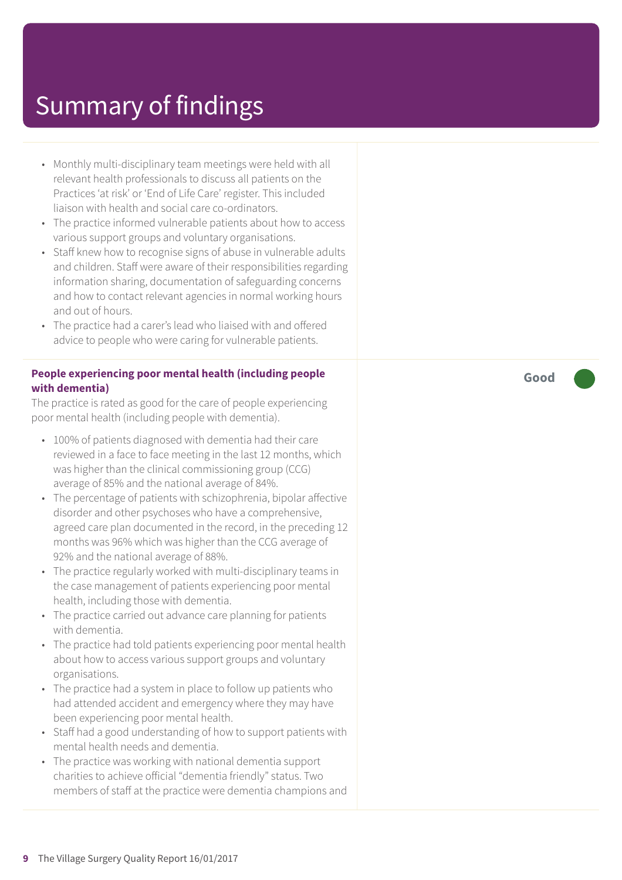- Monthly multi-disciplinary team meetings were held with all relevant health professionals to discuss all patients on the Practices 'at risk' or 'End of Life Care' register. This included liaison with health and social care co-ordinators.
- The practice informed vulnerable patients about how to access various support groups and voluntary organisations.
- Staff knew how to recognise signs of abuse in vulnerable adults and children. Staff were aware of their responsibilities regarding information sharing, documentation of safeguarding concerns and how to contact relevant agencies in normal working hours and out of hours.
- The practice had a carer's lead who liaised with and offered advice to people who were caring for vulnerable patients.

#### **People experiencing poor mental health (including people with dementia)**

The practice is rated as good for the care of people experiencing poor mental health (including people with dementia).

- 100% of patients diagnosed with dementia had their care reviewed in a face to face meeting in the last 12 months, which was higher than the clinical commissioning group (CCG) average of 85% and the national average of 84%.
- The percentage of patients with schizophrenia, bipolar affective disorder and other psychoses who have a comprehensive, agreed care plan documented in the record, in the preceding 12 months was 96% which was higher than the CCG average of 92% and the national average of 88%.
- The practice regularly worked with multi-disciplinary teams in the case management of patients experiencing poor mental health, including those with dementia.
- The practice carried out advance care planning for patients with dementia.
- The practice had told patients experiencing poor mental health about how to access various support groups and voluntary organisations.
- The practice had a system in place to follow up patients who had attended accident and emergency where they may have been experiencing poor mental health.
- Staff had a good understanding of how to support patients with mental health needs and dementia.
- The practice was working with national dementia support charities to achieve official "dementia friendly" status. Two members of staff at the practice were dementia champions and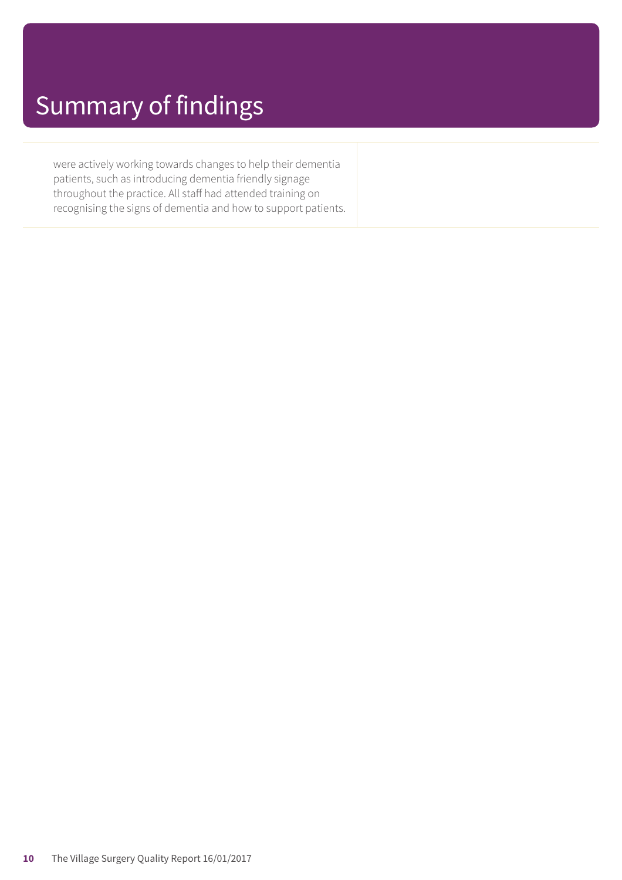were actively working towards changes to help their dementia patients, such as introducing dementia friendly signage throughout the practice. All staff had attended training on recognising the signs of dementia and how to support patients.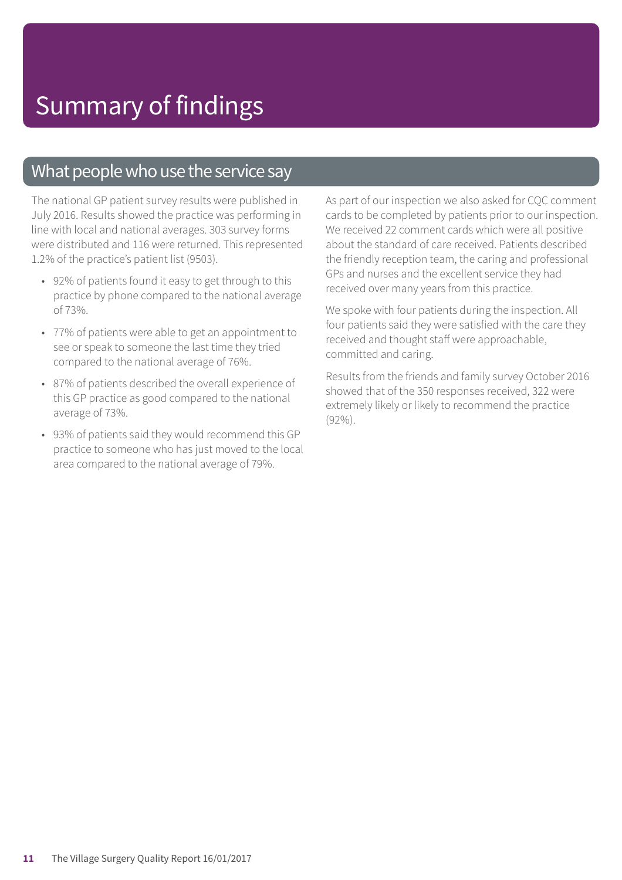### What people who use the service say

The national GP patient survey results were published in July 2016. Results showed the practice was performing in line with local and national averages. 303 survey forms were distributed and 116 were returned. This represented 1.2% of the practice's patient list (9503).

- 92% of patients found it easy to get through to this practice by phone compared to the national average of 73%.
- 77% of patients were able to get an appointment to see or speak to someone the last time they tried compared to the national average of 76%.
- 87% of patients described the overall experience of this GP practice as good compared to the national average of 73%.
- 93% of patients said they would recommend this GP practice to someone who has just moved to the local area compared to the national average of 79%.

As part of our inspection we also asked for CQC comment cards to be completed by patients prior to our inspection. We received 22 comment cards which were all positive about the standard of care received. Patients described the friendly reception team, the caring and professional GPs and nurses and the excellent service they had received over many years from this practice.

We spoke with four patients during the inspection. All four patients said they were satisfied with the care they received and thought staff were approachable, committed and caring.

Results from the friends and family survey October 2016 showed that of the 350 responses received, 322 were extremely likely or likely to recommend the practice (92%).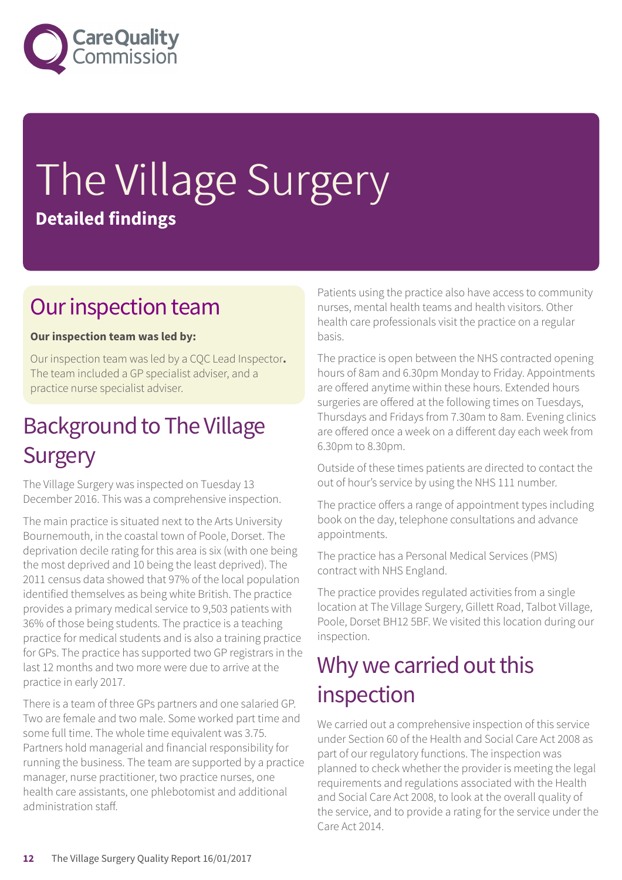

# The Village Surgery **Detailed findings**

### Our inspection team

#### **Our inspection team was led by:**

Our inspection team was led by a CQC Lead Inspector**.** The team included a GP specialist adviser, and a practice nurse specialist adviser.

### **Background to The Village Surgery**

The Village Surgery was inspected on Tuesday 13 December 2016. This was a comprehensive inspection.

The main practice is situated next to the Arts University Bournemouth, in the coastal town of Poole, Dorset. The deprivation decile rating for this area is six (with one being the most deprived and 10 being the least deprived). The 2011 census data showed that 97% of the local population identified themselves as being white British. The practice provides a primary medical service to 9,503 patients with 36% of those being students. The practice is a teaching practice for medical students and is also a training practice for GPs. The practice has supported two GP registrars in the last 12 months and two more were due to arrive at the practice in early 2017.

There is a team of three GPs partners and one salaried GP. Two are female and two male. Some worked part time and some full time. The whole time equivalent was 3.75. Partners hold managerial and financial responsibility for running the business. The team are supported by a practice manager, nurse practitioner, two practice nurses, one health care assistants, one phlebotomist and additional administration staff.

Patients using the practice also have access to community nurses, mental health teams and health visitors. Other health care professionals visit the practice on a regular basis.

The practice is open between the NHS contracted opening hours of 8am and 6.30pm Monday to Friday. Appointments are offered anytime within these hours. Extended hours surgeries are offered at the following times on Tuesdays, Thursdays and Fridays from 7.30am to 8am. Evening clinics are offered once a week on a different day each week from 6.30pm to 8.30pm.

Outside of these times patients are directed to contact the out of hour's service by using the NHS 111 number.

The practice offers a range of appointment types including book on the day, telephone consultations and advance appointments.

The practice has a Personal Medical Services (PMS) contract with NHS England.

The practice provides regulated activities from a single location at The Village Surgery, Gillett Road, Talbot Village, Poole, Dorset BH12 5BF. We visited this location during our inspection.

### Why we carried out this inspection

We carried out a comprehensive inspection of this service under Section 60 of the Health and Social Care Act 2008 as part of our regulatory functions. The inspection was planned to check whether the provider is meeting the legal requirements and regulations associated with the Health and Social Care Act 2008, to look at the overall quality of the service, and to provide a rating for the service under the Care Act 2014.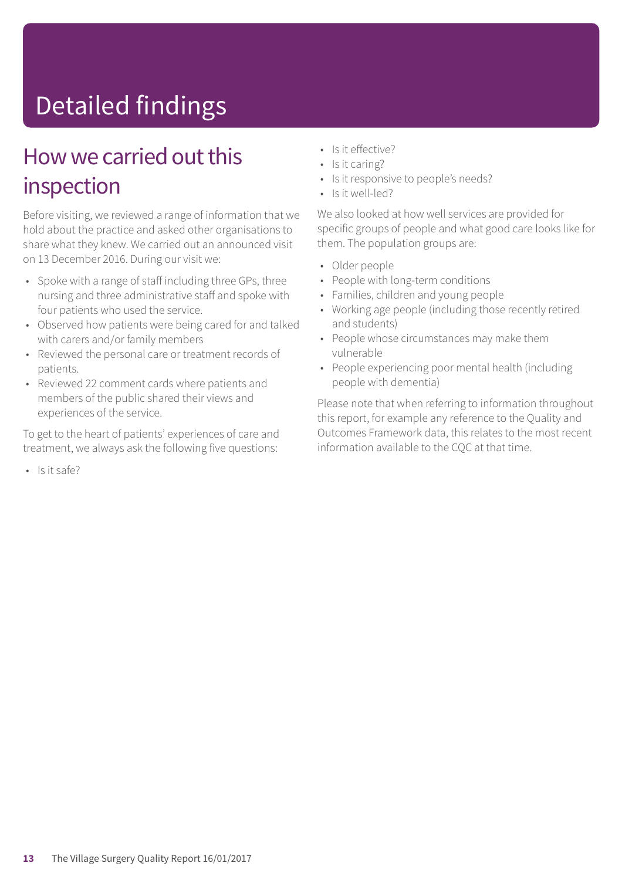# Detailed findings

### How we carried out this inspection

Before visiting, we reviewed a range of information that we hold about the practice and asked other organisations to share what they knew. We carried out an announced visit on 13 December 2016. During our visit we:

- Spoke with a range of staff including three GPs, three nursing and three administrative staff and spoke with four patients who used the service.
- Observed how patients were being cared for and talked with carers and/or family members
- Reviewed the personal care or treatment records of patients.
- Reviewed 22 comment cards where patients and members of the public shared their views and experiences of the service.

To get to the heart of patients' experiences of care and treatment, we always ask the following five questions:

 $\cdot$  Is it safe?

- Is it effective?
- Is it caring?
- Is it responsive to people's needs?
- Is it well-led?

We also looked at how well services are provided for specific groups of people and what good care looks like for them. The population groups are:

- Older people
- People with long-term conditions
- Families, children and young people
- Working age people (including those recently retired and students)
- People whose circumstances may make them vulnerable
- People experiencing poor mental health (including people with dementia)

Please note that when referring to information throughout this report, for example any reference to the Quality and Outcomes Framework data, this relates to the most recent information available to the CQC at that time.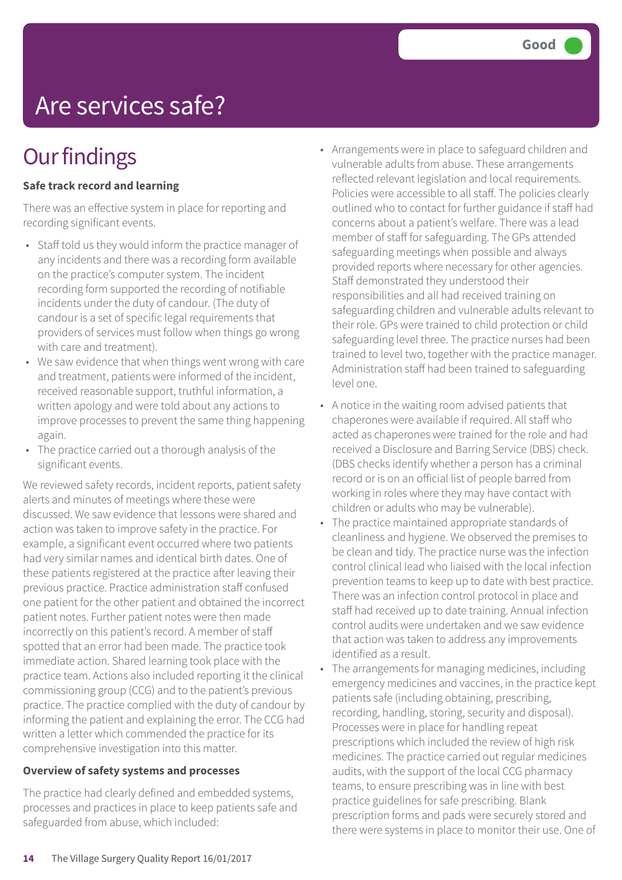# Are services safe?

## **Our findings**

#### **Safe track record and learning**

There was an effective system in place for reporting and recording significant events.

- Staff told us they would inform the practice manager of any incidents and there was a recording form available on the practice's computer system. The incident recording form supported the recording of notifiable incidents under the duty of candour. (The duty of candour is a set of specific legal requirements that providers of services must follow when things go wrong with care and treatment).
- We saw evidence that when things went wrong with care and treatment, patients were informed of the incident, received reasonable support, truthful information, a written apology and were told about any actions to improve processes to prevent the same thing happening again.
- The practice carried out a thorough analysis of the significant events.

We reviewed safety records, incident reports, patient safety alerts and minutes of meetings where these were discussed. We saw evidence that lessons were shared and action was taken to improve safety in the practice. For example, a significant event occurred where two patients had very similar names and identical birth dates. One of these patients registered at the practice after leaving their previous practice. Practice administration staff confused one patient for the other patient and obtained the incorrect patient notes. Further patient notes were then made incorrectly on this patient's record. A member of staff spotted that an error had been made. The practice took immediate action. Shared learning took place with the practice team. Actions also included reporting it the clinical commissioning group (CCG) and to the patient's previous practice. The practice complied with the duty of candour by informing the patient and explaining the error. The CCG had written a letter which commended the practice for its comprehensive investigation into this matter.

#### **Overview of safety systems and processes**

The practice had clearly defined and embedded systems, processes and practices in place to keep patients safe and safeguarded from abuse, which included:

- Arrangements were in place to safeguard children and vulnerable adults from abuse. These arrangements reflected relevant legislation and local requirements. Policies were accessible to all staff. The policies clearly outlined who to contact for further guidance if staff had concerns about a patient's welfare. There was a lead member of staff for safeguarding. The GPs attended safeguarding meetings when possible and always provided reports where necessary for other agencies. Staff demonstrated they understood their responsibilities and all had received training on safeguarding children and vulnerable adults relevant to their role. GPs were trained to child protection or child safeguarding level three. The practice nurses had been trained to level two, together with the practice manager. Administration staff had been trained to safeguarding level one.
- A notice in the waiting room advised patients that chaperones were available if required. All staff who acted as chaperones were trained for the role and had received a Disclosure and Barring Service (DBS) check. (DBS checks identify whether a person has a criminal record or is on an official list of people barred from working in roles where they may have contact with children or adults who may be vulnerable).
- The practice maintained appropriate standards of cleanliness and hygiene. We observed the premises to be clean and tidy. The practice nurse was the infection control clinical lead who liaised with the local infection prevention teams to keep up to date with best practice. There was an infection control protocol in place and staff had received up to date training. Annual infection control audits were undertaken and we saw evidence that action was taken to address any improvements identified as a result.
- The arrangements for managing medicines, including emergency medicines and vaccines, in the practice kept patients safe (including obtaining, prescribing, recording, handling, storing, security and disposal). Processes were in place for handling repeat prescriptions which included the review of high risk medicines. The practice carried out regular medicines audits, with the support of the local CCG pharmacy teams, to ensure prescribing was in line with best practice guidelines for safe prescribing. Blank prescription forms and pads were securely stored and there were systems in place to monitor their use. One of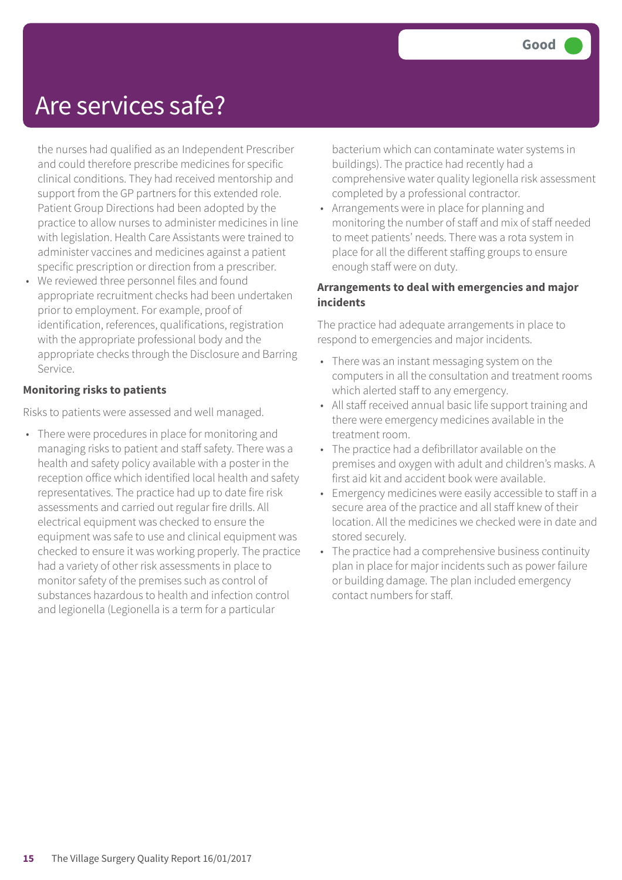### Are services safe?

the nurses had qualified as an Independent Prescriber and could therefore prescribe medicines for specific clinical conditions. They had received mentorship and support from the GP partners for this extended role. Patient Group Directions had been adopted by the practice to allow nurses to administer medicines in line with legislation. Health Care Assistants were trained to administer vaccines and medicines against a patient specific prescription or direction from a prescriber.

• We reviewed three personnel files and found appropriate recruitment checks had been undertaken prior to employment. For example, proof of identification, references, qualifications, registration with the appropriate professional body and the appropriate checks through the Disclosure and Barring Service.

#### **Monitoring risks to patients**

Risks to patients were assessed and well managed.

• There were procedures in place for monitoring and managing risks to patient and staff safety. There was a health and safety policy available with a poster in the reception office which identified local health and safety representatives. The practice had up to date fire risk assessments and carried out regular fire drills. All electrical equipment was checked to ensure the equipment was safe to use and clinical equipment was checked to ensure it was working properly. The practice had a variety of other risk assessments in place to monitor safety of the premises such as control of substances hazardous to health and infection control and legionella (Legionella is a term for a particular

bacterium which can contaminate water systems in buildings). The practice had recently had a comprehensive water quality legionella risk assessment completed by a professional contractor.

• Arrangements were in place for planning and monitoring the number of staff and mix of staff needed to meet patients' needs. There was a rota system in place for all the different staffing groups to ensure enough staff were on duty.

#### **Arrangements to deal with emergencies and major incidents**

The practice had adequate arrangements in place to respond to emergencies and major incidents.

- There was an instant messaging system on the computers in all the consultation and treatment rooms which alerted staff to any emergency.
- All staff received annual basic life support training and there were emergency medicines available in the treatment room.
- The practice had a defibrillator available on the premises and oxygen with adult and children's masks. A first aid kit and accident book were available.
- Emergency medicines were easily accessible to staff in a secure area of the practice and all staff knew of their location. All the medicines we checked were in date and stored securely.
- The practice had a comprehensive business continuity plan in place for major incidents such as power failure or building damage. The plan included emergency contact numbers for staff.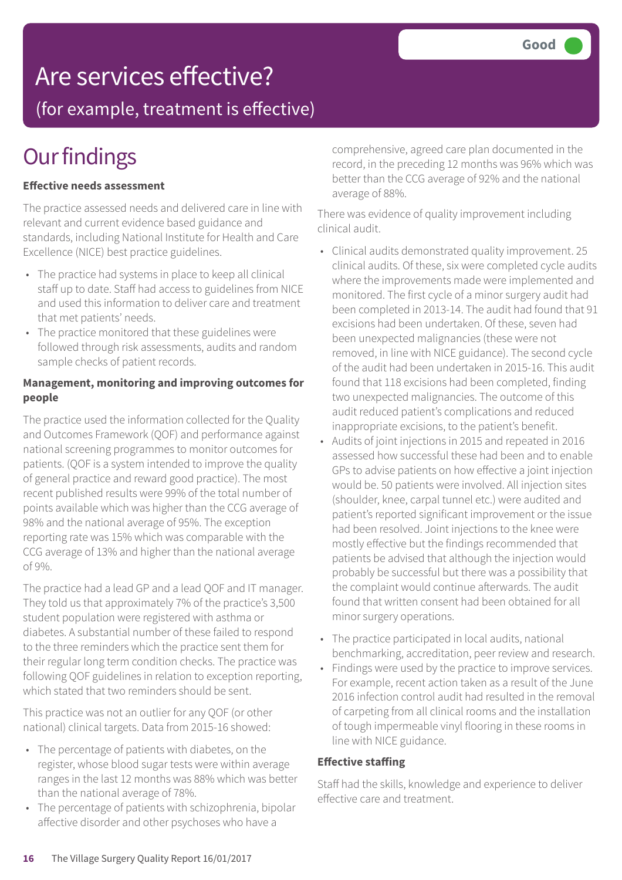### Are services effective?

(for example, treatment is effective)

## **Our findings**

#### **Effective needs assessment**

The practice assessed needs and delivered care in line with relevant and current evidence based guidance and standards, including National Institute for Health and Care Excellence (NICE) best practice guidelines.

- The practice had systems in place to keep all clinical staff up to date. Staff had access to guidelines from NICE and used this information to deliver care and treatment that met patients' needs.
- The practice monitored that these guidelines were followed through risk assessments, audits and random sample checks of patient records.

#### **Management, monitoring and improving outcomes for people**

The practice used the information collected for the Quality and Outcomes Framework (QOF) and performance against national screening programmes to monitor outcomes for patients. (QOF is a system intended to improve the quality of general practice and reward good practice). The most recent published results were 99% of the total number of points available which was higher than the CCG average of 98% and the national average of 95%. The exception reporting rate was 15% which was comparable with the CCG average of 13% and higher than the national average of 9%.

The practice had a lead GP and a lead QOF and IT manager. They told us that approximately 7% of the practice's 3,500 student population were registered with asthma or diabetes. A substantial number of these failed to respond to the three reminders which the practice sent them for their regular long term condition checks. The practice was following QOF guidelines in relation to exception reporting, which stated that two reminders should be sent.

This practice was not an outlier for any QOF (or other national) clinical targets. Data from 2015-16 showed:

- The percentage of patients with diabetes, on the register, whose blood sugar tests were within average ranges in the last 12 months was 88% which was better than the national average of 78%.
- The percentage of patients with schizophrenia, bipolar affective disorder and other psychoses who have a

comprehensive, agreed care plan documented in the record, in the preceding 12 months was 96% which was better than the CCG average of 92% and the national average of 88%.

There was evidence of quality improvement including clinical audit.

- Clinical audits demonstrated quality improvement. 25 clinical audits. Of these, six were completed cycle audits where the improvements made were implemented and monitored. The first cycle of a minor surgery audit had been completed in 2013-14. The audit had found that 91 excisions had been undertaken. Of these, seven had been unexpected malignancies (these were not removed, in line with NICE guidance). The second cycle of the audit had been undertaken in 2015-16. This audit found that 118 excisions had been completed, finding two unexpected malignancies. The outcome of this audit reduced patient's complications and reduced inappropriate excisions, to the patient's benefit.
- Audits of joint injections in 2015 and repeated in 2016 assessed how successful these had been and to enable GPs to advise patients on how effective a joint injection would be. 50 patients were involved. All injection sites (shoulder, knee, carpal tunnel etc.) were audited and patient's reported significant improvement or the issue had been resolved. Joint injections to the knee were mostly effective but the findings recommended that patients be advised that although the injection would probably be successful but there was a possibility that the complaint would continue afterwards. The audit found that written consent had been obtained for all minor surgery operations.
- The practice participated in local audits, national benchmarking, accreditation, peer review and research.
- Findings were used by the practice to improve services. For example, recent action taken as a result of the June 2016 infection control audit had resulted in the removal of carpeting from all clinical rooms and the installation of tough impermeable vinyl flooring in these rooms in line with NICE guidance.

#### **Effective staffing**

Staff had the skills, knowledge and experience to deliver effective care and treatment.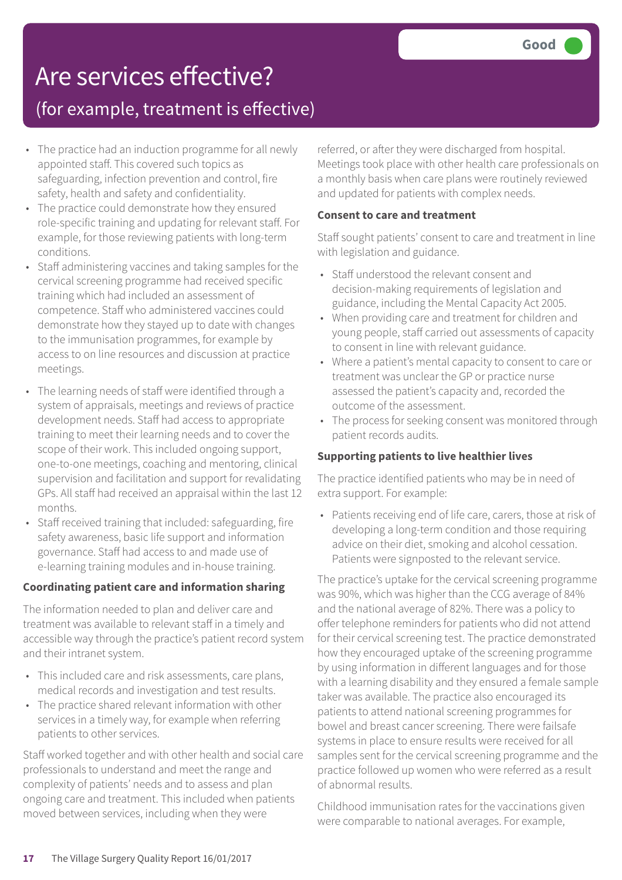## Are services effective?

### (for example, treatment is effective)

- The practice had an induction programme for all newly appointed staff. This covered such topics as safeguarding, infection prevention and control, fire safety, health and safety and confidentiality.
- The practice could demonstrate how they ensured role-specific training and updating for relevant staff. For example, for those reviewing patients with long-term conditions.
- Staff administering vaccines and taking samples for the cervical screening programme had received specific training which had included an assessment of competence. Staff who administered vaccines could demonstrate how they stayed up to date with changes to the immunisation programmes, for example by access to on line resources and discussion at practice meetings.
- The learning needs of staff were identified through a system of appraisals, meetings and reviews of practice development needs. Staff had access to appropriate training to meet their learning needs and to cover the scope of their work. This included ongoing support, one-to-one meetings, coaching and mentoring, clinical supervision and facilitation and support for revalidating GPs. All staff had received an appraisal within the last 12 months.
- Staff received training that included: safeguarding, fire safety awareness, basic life support and information governance. Staff had access to and made use of e-learning training modules and in-house training.

#### **Coordinating patient care and information sharing**

The information needed to plan and deliver care and treatment was available to relevant staff in a timely and accessible way through the practice's patient record system and their intranet system.

- This included care and risk assessments, care plans, medical records and investigation and test results.
- The practice shared relevant information with other services in a timely way, for example when referring patients to other services.

Staff worked together and with other health and social care professionals to understand and meet the range and complexity of patients' needs and to assess and plan ongoing care and treatment. This included when patients moved between services, including when they were

referred, or after they were discharged from hospital. Meetings took place with other health care professionals on a monthly basis when care plans were routinely reviewed and updated for patients with complex needs.

#### **Consent to care and treatment**

Staff sought patients' consent to care and treatment in line with legislation and guidance.

- Staff understood the relevant consent and decision-making requirements of legislation and guidance, including the Mental Capacity Act 2005.
- When providing care and treatment for children and young people, staff carried out assessments of capacity to consent in line with relevant guidance.
- Where a patient's mental capacity to consent to care or treatment was unclear the GP or practice nurse assessed the patient's capacity and, recorded the outcome of the assessment.
- The process for seeking consent was monitored through patient records audits.

#### **Supporting patients to live healthier lives**

The practice identified patients who may be in need of extra support. For example:

• Patients receiving end of life care, carers, those at risk of developing a long-term condition and those requiring advice on their diet, smoking and alcohol cessation. Patients were signposted to the relevant service.

The practice's uptake for the cervical screening programme was 90%, which was higher than the CCG average of 84% and the national average of 82%. There was a policy to offer telephone reminders for patients who did not attend for their cervical screening test. The practice demonstrated how they encouraged uptake of the screening programme by using information in different languages and for those with a learning disability and they ensured a female sample taker was available. The practice also encouraged its patients to attend national screening programmes for bowel and breast cancer screening. There were failsafe systems in place to ensure results were received for all samples sent for the cervical screening programme and the practice followed up women who were referred as a result of abnormal results.

Childhood immunisation rates for the vaccinations given were comparable to national averages. For example,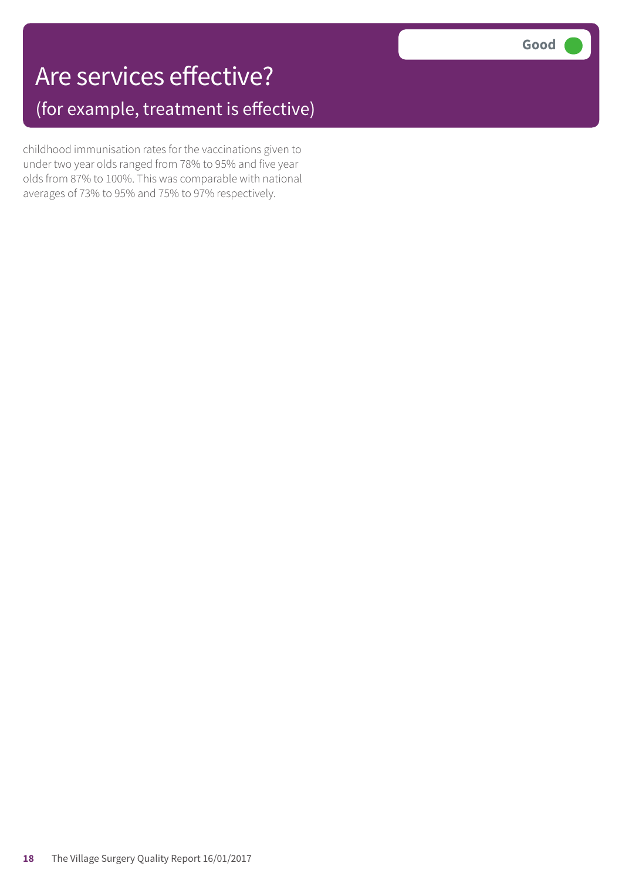## Are services effective? (for example, treatment is effective)

childhood immunisation rates for the vaccinations given to under two year olds ranged from 78% to 95% and five year olds from 87% to 100%. This was comparable with national averages of 73% to 95% and 75% to 97% respectively.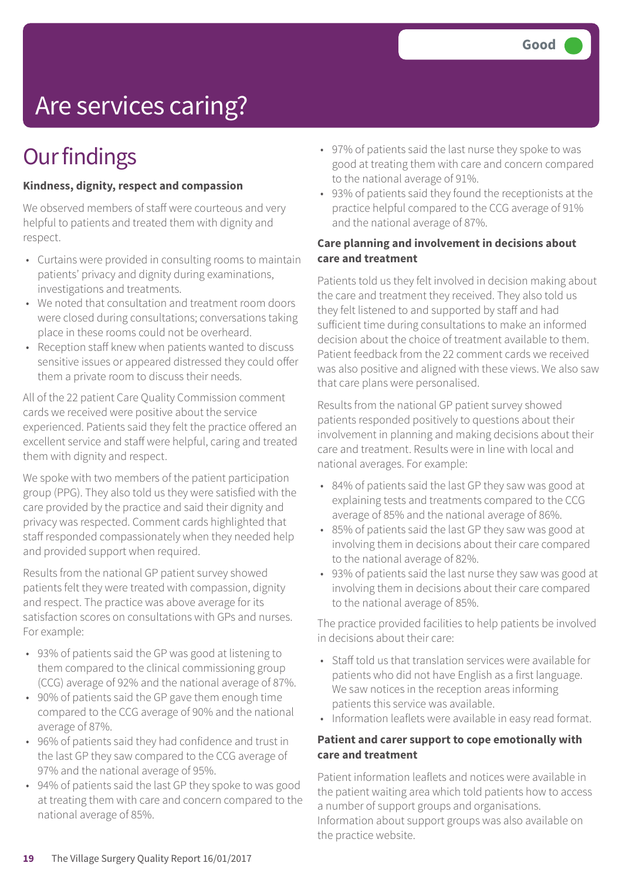# Are services caring?

## **Our findings**

#### **Kindness, dignity, respect and compassion**

We observed members of staff were courteous and very helpful to patients and treated them with dignity and respect.

- Curtains were provided in consulting rooms to maintain patients' privacy and dignity during examinations, investigations and treatments.
- We noted that consultation and treatment room doors were closed during consultations; conversations taking place in these rooms could not be overheard.
- Reception staff knew when patients wanted to discuss sensitive issues or appeared distressed they could offer them a private room to discuss their needs.

All of the 22 patient Care Quality Commission comment cards we received were positive about the service experienced. Patients said they felt the practice offered an excellent service and staff were helpful, caring and treated them with dignity and respect.

We spoke with two members of the patient participation group (PPG). They also told us they were satisfied with the care provided by the practice and said their dignity and privacy was respected. Comment cards highlighted that staff responded compassionately when they needed help and provided support when required.

Results from the national GP patient survey showed patients felt they were treated with compassion, dignity and respect. The practice was above average for its satisfaction scores on consultations with GPs and nurses. For example:

- 93% of patients said the GP was good at listening to them compared to the clinical commissioning group (CCG) average of 92% and the national average of 87%.
- 90% of patients said the GP gave them enough time compared to the CCG average of 90% and the national average of 87%.
- 96% of patients said they had confidence and trust in the last GP they saw compared to the CCG average of 97% and the national average of 95%.
- 94% of patients said the last GP they spoke to was good at treating them with care and concern compared to the national average of 85%.
- 97% of patients said the last nurse they spoke to was good at treating them with care and concern compared to the national average of 91%.
- 93% of patients said they found the receptionists at the practice helpful compared to the CCG average of 91% and the national average of 87%.

#### **Care planning and involvement in decisions about care and treatment**

Patients told us they felt involved in decision making about the care and treatment they received. They also told us they felt listened to and supported by staff and had sufficient time during consultations to make an informed decision about the choice of treatment available to them. Patient feedback from the 22 comment cards we received was also positive and aligned with these views. We also saw that care plans were personalised.

Results from the national GP patient survey showed patients responded positively to questions about their involvement in planning and making decisions about their care and treatment. Results were in line with local and national averages. For example:

- 84% of patients said the last GP they saw was good at explaining tests and treatments compared to the CCG average of 85% and the national average of 86%.
- 85% of patients said the last GP they saw was good at involving them in decisions about their care compared to the national average of 82%.
- 93% of patients said the last nurse they saw was good at involving them in decisions about their care compared to the national average of 85%.

The practice provided facilities to help patients be involved in decisions about their care:

- Staff told us that translation services were available for patients who did not have English as a first language. We saw notices in the reception areas informing patients this service was available.
- Information leaflets were available in easy read format.

#### **Patient and carer support to cope emotionally with care and treatment**

Patient information leaflets and notices were available in the patient waiting area which told patients how to access a number of support groups and organisations. Information about support groups was also available on the practice website.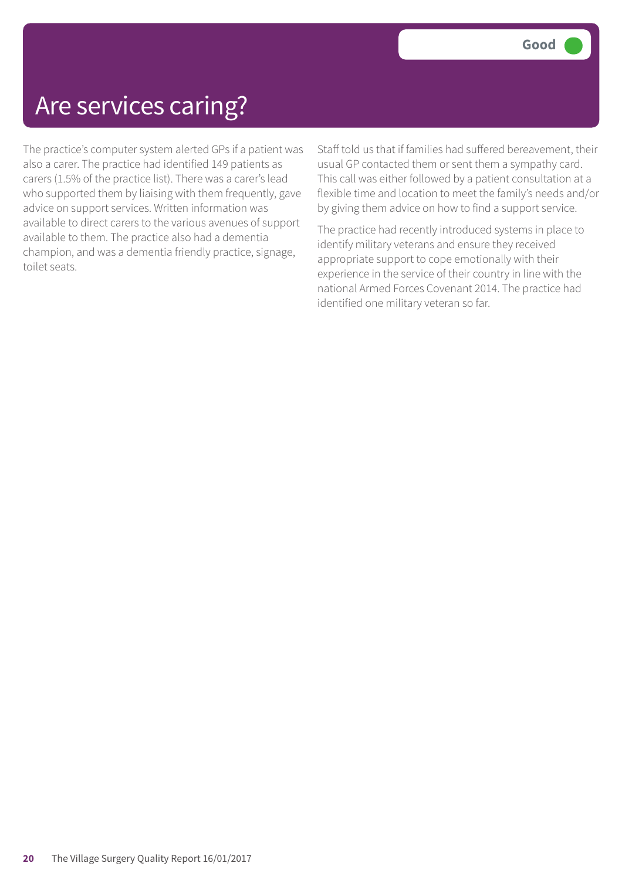### Are services caring?

The practice's computer system alerted GPs if a patient was also a carer. The practice had identified 149 patients as carers (1.5% of the practice list). There was a carer's lead who supported them by liaising with them frequently, gave advice on support services. Written information was available to direct carers to the various avenues of support available to them. The practice also had a dementia champion, and was a dementia friendly practice, signage, toilet seats.

Staff told us that if families had suffered bereavement, their usual GP contacted them or sent them a sympathy card. This call was either followed by a patient consultation at a flexible time and location to meet the family's needs and/or by giving them advice on how to find a support service.

The practice had recently introduced systems in place to identify military veterans and ensure they received appropriate support to cope emotionally with their experience in the service of their country in line with the national Armed Forces Covenant 2014. The practice had identified one military veteran so far.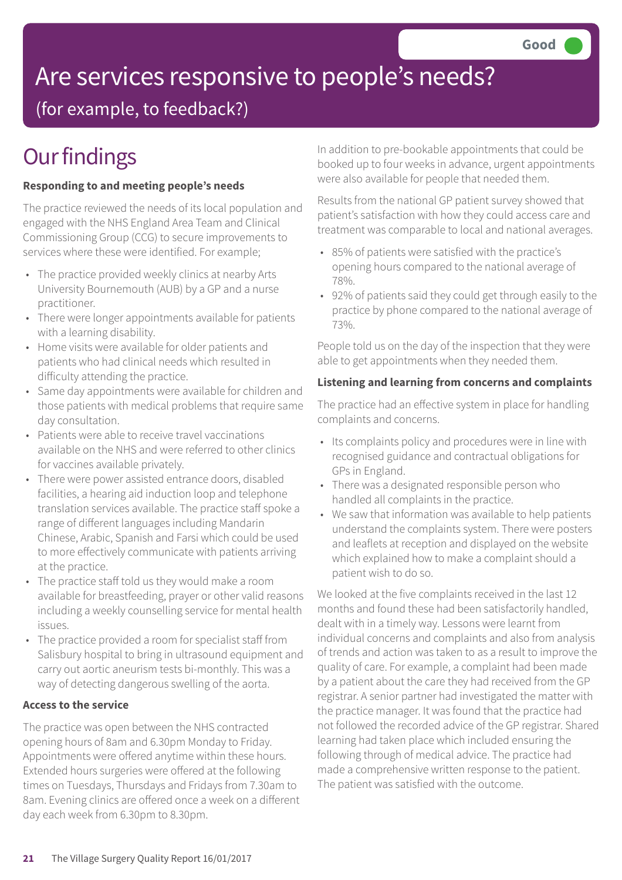# Are services responsive to people's needs?

(for example, to feedback?)

# **Our findings**

#### **Responding to and meeting people's needs**

The practice reviewed the needs of its local population and engaged with the NHS England Area Team and Clinical Commissioning Group (CCG) to secure improvements to services where these were identified. For example;

- The practice provided weekly clinics at nearby Arts University Bournemouth (AUB) by a GP and a nurse practitioner.
- There were longer appointments available for patients with a learning disability.
- Home visits were available for older patients and patients who had clinical needs which resulted in difficulty attending the practice.
- Same day appointments were available for children and those patients with medical problems that require same day consultation.
- Patients were able to receive travel vaccinations available on the NHS and were referred to other clinics for vaccines available privately.
- There were power assisted entrance doors, disabled facilities, a hearing aid induction loop and telephone translation services available. The practice staff spoke a range of different languages including Mandarin Chinese, Arabic, Spanish and Farsi which could be used to more effectively communicate with patients arriving at the practice.
- The practice staff told us they would make a room available for breastfeeding, prayer or other valid reasons including a weekly counselling service for mental health issues.
- The practice provided a room for specialist staff from Salisbury hospital to bring in ultrasound equipment and carry out aortic aneurism tests bi-monthly. This was a way of detecting dangerous swelling of the aorta.

#### **Access to the service**

The practice was open between the NHS contracted opening hours of 8am and 6.30pm Monday to Friday. Appointments were offered anytime within these hours. Extended hours surgeries were offered at the following times on Tuesdays, Thursdays and Fridays from 7.30am to 8am. Evening clinics are offered once a week on a different day each week from 6.30pm to 8.30pm.

In addition to pre-bookable appointments that could be booked up to four weeks in advance, urgent appointments were also available for people that needed them.

Results from the national GP patient survey showed that patient's satisfaction with how they could access care and treatment was comparable to local and national averages.

- 85% of patients were satisfied with the practice's opening hours compared to the national average of 78%.
- 92% of patients said they could get through easily to the practice by phone compared to the national average of 73%.

People told us on the day of the inspection that they were able to get appointments when they needed them.

#### **Listening and learning from concerns and complaints**

The practice had an effective system in place for handling complaints and concerns.

- Its complaints policy and procedures were in line with recognised guidance and contractual obligations for GPs in England.
- There was a designated responsible person who handled all complaints in the practice.
- We saw that information was available to help patients understand the complaints system. There were posters and leaflets at reception and displayed on the website which explained how to make a complaint should a patient wish to do so.

We looked at the five complaints received in the last 12 months and found these had been satisfactorily handled, dealt with in a timely way. Lessons were learnt from individual concerns and complaints and also from analysis of trends and action was taken to as a result to improve the quality of care. For example, a complaint had been made by a patient about the care they had received from the GP registrar. A senior partner had investigated the matter with the practice manager. It was found that the practice had not followed the recorded advice of the GP registrar. Shared learning had taken place which included ensuring the following through of medical advice. The practice had made a comprehensive written response to the patient. The patient was satisfied with the outcome.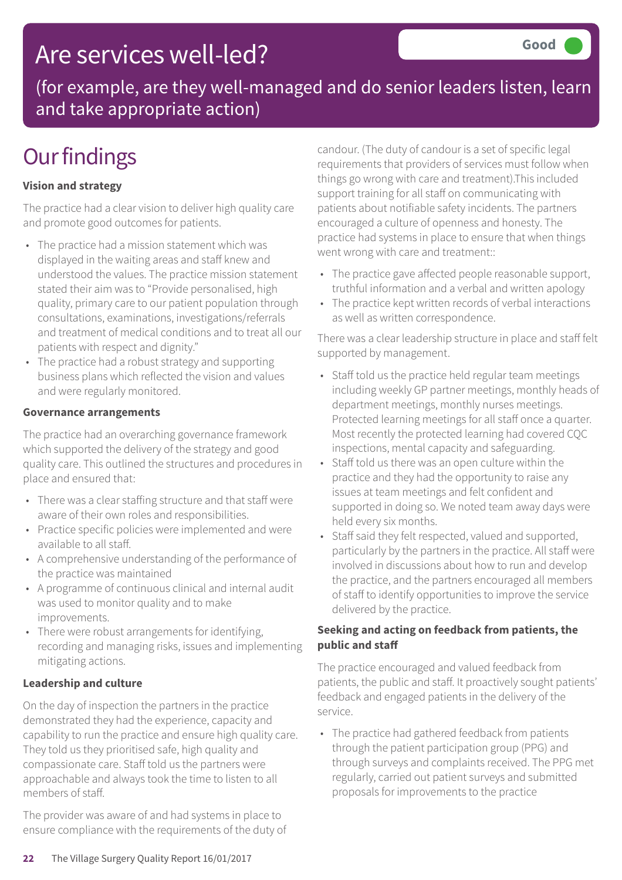## Are services well-led?

(for example, are they well-managed and do senior leaders listen, learn and take appropriate action)

## **Our findings**

#### **Vision and strategy**

The practice had a clear vision to deliver high quality care and promote good outcomes for patients.

- The practice had a mission statement which was displayed in the waiting areas and staff knew and understood the values. The practice mission statement stated their aim was to "Provide personalised, high quality, primary care to our patient population through consultations, examinations, investigations/referrals and treatment of medical conditions and to treat all our patients with respect and dignity."
- The practice had a robust strategy and supporting business plans which reflected the vision and values and were regularly monitored.

#### **Governance arrangements**

The practice had an overarching governance framework which supported the delivery of the strategy and good quality care. This outlined the structures and procedures in place and ensured that:

- There was a clear staffing structure and that staff were aware of their own roles and responsibilities.
- Practice specific policies were implemented and were available to all staff.
- A comprehensive understanding of the performance of the practice was maintained
- A programme of continuous clinical and internal audit was used to monitor quality and to make improvements.
- There were robust arrangements for identifying, recording and managing risks, issues and implementing mitigating actions.

#### **Leadership and culture**

On the day of inspection the partners in the practice demonstrated they had the experience, capacity and capability to run the practice and ensure high quality care. They told us they prioritised safe, high quality and compassionate care. Staff told us the partners were approachable and always took the time to listen to all members of staff.

The provider was aware of and had systems in place to ensure compliance with the requirements of the duty of candour. (The duty of candour is a set of specific legal requirements that providers of services must follow when things go wrong with care and treatment).This included support training for all staff on communicating with patients about notifiable safety incidents. The partners encouraged a culture of openness and honesty. The practice had systems in place to ensure that when things went wrong with care and treatment::

- The practice gave affected people reasonable support, truthful information and a verbal and written apology
- The practice kept written records of verbal interactions as well as written correspondence.

There was a clear leadership structure in place and staff felt supported by management.

- Staff told us the practice held regular team meetings including weekly GP partner meetings, monthly heads of department meetings, monthly nurses meetings. Protected learning meetings for all staff once a quarter. Most recently the protected learning had covered CQC inspections, mental capacity and safeguarding.
- Staff told us there was an open culture within the practice and they had the opportunity to raise any issues at team meetings and felt confident and supported in doing so. We noted team away days were held every six months.
- Staff said they felt respected, valued and supported, particularly by the partners in the practice. All staff were involved in discussions about how to run and develop the practice, and the partners encouraged all members of staff to identify opportunities to improve the service delivered by the practice.

#### **Seeking and acting on feedback from patients, the public and staff**

The practice encouraged and valued feedback from patients, the public and staff. It proactively sought patients' feedback and engaged patients in the delivery of the service.

• The practice had gathered feedback from patients through the patient participation group (PPG) and through surveys and complaints received. The PPG met regularly, carried out patient surveys and submitted proposals for improvements to the practice